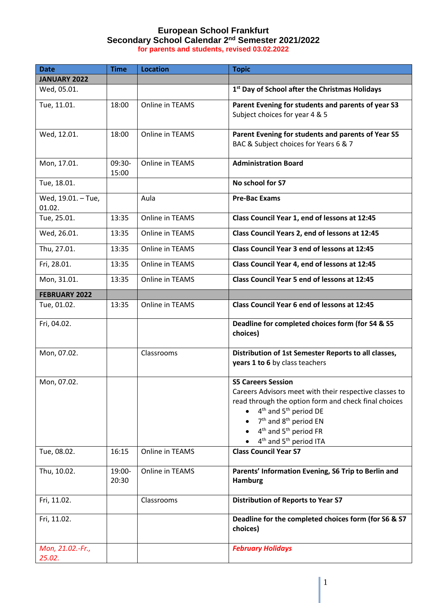## **European School Frankfurt Secondary School Calendar 2 nd Semester 2021/2022 for parents and students, revised 03.02.2022**

| <b>Date</b>                  | <b>Time</b>     | <b>Location</b> | <b>Topic</b>                                                                                                                                                                                                                                                                                                                                     |
|------------------------------|-----------------|-----------------|--------------------------------------------------------------------------------------------------------------------------------------------------------------------------------------------------------------------------------------------------------------------------------------------------------------------------------------------------|
| <b>JANUARY 2022</b>          |                 |                 |                                                                                                                                                                                                                                                                                                                                                  |
| Wed, 05.01.                  |                 |                 | 1st Day of School after the Christmas Holidays                                                                                                                                                                                                                                                                                                   |
| Tue, 11.01.                  | 18:00           | Online in TEAMS | Parent Evening for students and parents of year S3<br>Subject choices for year 4 & 5                                                                                                                                                                                                                                                             |
| Wed, 12.01.                  | 18:00           | Online in TEAMS | Parent Evening for students and parents of Year S5<br>BAC & Subject choices for Years 6 & 7                                                                                                                                                                                                                                                      |
| Mon, 17.01.                  | 09:30-<br>15:00 | Online in TEAMS | <b>Administration Board</b>                                                                                                                                                                                                                                                                                                                      |
| Tue, 18.01.                  |                 |                 | No school for S7                                                                                                                                                                                                                                                                                                                                 |
| Wed, 19.01. - Tue,<br>01.02. |                 | Aula            | <b>Pre-Bac Exams</b>                                                                                                                                                                                                                                                                                                                             |
| Tue, 25.01.                  | 13:35           | Online in TEAMS | Class Council Year 1, end of lessons at 12:45                                                                                                                                                                                                                                                                                                    |
| Wed, 26.01.                  | 13:35           | Online in TEAMS | Class Council Years 2, end of lessons at 12:45                                                                                                                                                                                                                                                                                                   |
| Thu, 27.01.                  | 13:35           | Online in TEAMS | Class Council Year 3 end of lessons at 12:45                                                                                                                                                                                                                                                                                                     |
| Fri, 28.01.                  | 13:35           | Online in TEAMS | Class Council Year 4, end of lessons at 12:45                                                                                                                                                                                                                                                                                                    |
| Mon, 31.01.                  | 13:35           | Online in TEAMS | Class Council Year 5 end of lessons at 12:45                                                                                                                                                                                                                                                                                                     |
| <b>FEBRUARY 2022</b>         |                 |                 |                                                                                                                                                                                                                                                                                                                                                  |
| Tue, 01.02.                  | 13:35           | Online in TEAMS | Class Council Year 6 end of lessons at 12:45                                                                                                                                                                                                                                                                                                     |
| Fri, 04.02.                  |                 |                 | Deadline for completed choices form (for S4 & S5<br>choices)                                                                                                                                                                                                                                                                                     |
| Mon, 07.02.                  |                 | Classrooms      | Distribution of 1st Semester Reports to all classes,<br>years 1 to 6 by class teachers                                                                                                                                                                                                                                                           |
| Mon, 07.02.                  |                 |                 | <b>S5 Careers Session</b><br>Careers Advisors meet with their respective classes to<br>read through the option form and check final choices<br>4 <sup>th</sup> and 5 <sup>th</sup> period DE<br>7 <sup>th</sup> and 8 <sup>th</sup> period EN<br>4 <sup>th</sup> and 5 <sup>th</sup> period FR<br>4 <sup>th</sup> and 5 <sup>th</sup> period ITA |
| Tue, 08.02.                  | 16:15           | Online in TEAMS | <b>Class Council Year S7</b>                                                                                                                                                                                                                                                                                                                     |
| Thu, 10.02.                  | 19:00-<br>20:30 | Online in TEAMS | Parents' Information Evening, S6 Trip to Berlin and<br><b>Hamburg</b>                                                                                                                                                                                                                                                                            |
| Fri, 11.02.                  |                 | Classrooms      | <b>Distribution of Reports to Year S7</b>                                                                                                                                                                                                                                                                                                        |
| Fri, 11.02.                  |                 |                 | Deadline for the completed choices form (for S6 & S7<br>choices)                                                                                                                                                                                                                                                                                 |
| Mon, 21.02.-Fr.,<br>25.02.   |                 |                 | <b>February Holidays</b>                                                                                                                                                                                                                                                                                                                         |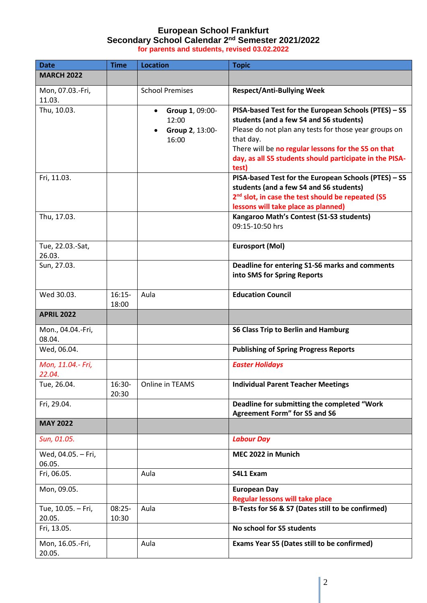## **European School Frankfurt Secondary School Calendar 2 nd Semester 2021/2022 for parents and students, revised 03.02.2022**

| <b>Date</b>                  | <b>Time</b>       | <b>Location</b>                                                   | <b>Topic</b>                                                                                                                                                                                                                                                                                     |
|------------------------------|-------------------|-------------------------------------------------------------------|--------------------------------------------------------------------------------------------------------------------------------------------------------------------------------------------------------------------------------------------------------------------------------------------------|
| <b>MARCH 2022</b>            |                   |                                                                   |                                                                                                                                                                                                                                                                                                  |
| Mon, 07.03.-Fri,<br>11.03.   |                   | <b>School Premises</b>                                            | <b>Respect/Anti-Bullying Week</b>                                                                                                                                                                                                                                                                |
| Thu, 10.03.                  |                   | Group 1, 09:00-<br>$\bullet$<br>12:00<br>Group 2, 13:00-<br>16:00 | PISA-based Test for the European Schools (PTES) - S5<br>students (and a few S4 and S6 students)<br>Please do not plan any tests for those year groups on<br>that day.<br>There will be no regular lessons for the S5 on that<br>day, as all S5 students should participate in the PISA-<br>test) |
| Fri, 11.03.                  |                   |                                                                   | PISA-based Test for the European Schools (PTES) - S5<br>students (and a few S4 and S6 students)<br>2 <sup>nd</sup> slot, in case the test should be repeated (S5<br>lessons will take place as planned)                                                                                          |
| Thu, 17.03.                  |                   |                                                                   | Kangaroo Math's Contest (S1-S3 students)<br>09:15-10:50 hrs                                                                                                                                                                                                                                      |
| Tue, 22.03.-Sat,<br>26.03.   |                   |                                                                   | <b>Eurosport (Mol)</b>                                                                                                                                                                                                                                                                           |
| Sun, 27.03.                  |                   |                                                                   | Deadline for entering S1-S6 marks and comments<br>into SMS for Spring Reports                                                                                                                                                                                                                    |
| Wed 30.03.                   | $16:15-$<br>18:00 | Aula                                                              | <b>Education Council</b>                                                                                                                                                                                                                                                                         |
| <b>APRIL 2022</b>            |                   |                                                                   |                                                                                                                                                                                                                                                                                                  |
| Mon., 04.04.-Fri,<br>08.04.  |                   |                                                                   | <b>S6 Class Trip to Berlin and Hamburg</b>                                                                                                                                                                                                                                                       |
| Wed, 06.04.                  |                   |                                                                   | <b>Publishing of Spring Progress Reports</b>                                                                                                                                                                                                                                                     |
| Mon, 11.04.- Fri,<br>22.04.  |                   |                                                                   | <b>Easter Holidays</b>                                                                                                                                                                                                                                                                           |
| Tue, 26.04.                  | 16:30-<br>20:30   | Online in TEAMS                                                   | <b>Individual Parent Teacher Meetings</b>                                                                                                                                                                                                                                                        |
| Fri, 29.04.                  |                   |                                                                   | Deadline for submitting the completed "Work<br><b>Agreement Form" for S5 and S6</b>                                                                                                                                                                                                              |
| <b>MAY 2022</b>              |                   |                                                                   |                                                                                                                                                                                                                                                                                                  |
| Sun, 01.05.                  |                   |                                                                   | <b>Labour Day</b>                                                                                                                                                                                                                                                                                |
| Wed, 04.05. - Fri,<br>06.05. |                   |                                                                   | MEC 2022 in Munich                                                                                                                                                                                                                                                                               |
| Fri, 06.05.                  |                   | Aula                                                              | S4L1 Exam                                                                                                                                                                                                                                                                                        |
| Mon, 09.05.                  |                   |                                                                   | <b>European Day</b><br><b>Regular lessons will take place</b>                                                                                                                                                                                                                                    |
| Tue, 10.05. - Fri,<br>20.05. | $08:25-$<br>10:30 | Aula                                                              | B-Tests for S6 & S7 (Dates still to be confirmed)                                                                                                                                                                                                                                                |
| Fri, 13.05.                  |                   |                                                                   | No school for S5 students                                                                                                                                                                                                                                                                        |
| Mon, 16.05.-Fri,<br>20.05.   |                   | Aula                                                              | Exams Year S5 (Dates still to be confirmed)                                                                                                                                                                                                                                                      |